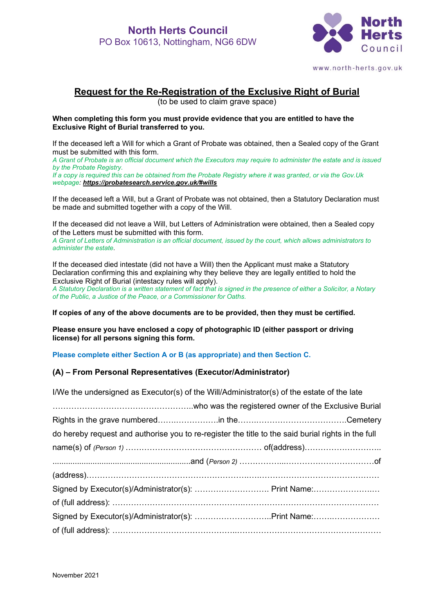

www.north-herts.gov.uk

# **Request for the Re-Registration of the Exclusive Right of Burial**

(to be used to claim grave space)

#### **When completing this form you must provide evidence that you are entitled to have the Exclusive Right of Burial transferred to you.**

If the deceased left a Will for which a Grant of Probate was obtained, then a Sealed copy of the Grant must be submitted with this form.

*A Grant of Probate is an official document which the Executors may require to administer the estate and is issued by the Probate Registry.* 

*If a copy is required this can be obtained from the Probate Registry where it was granted, or via the Gov.Uk webpage: <https://probatesearch.service.gov.uk/#wills>*

If the deceased left a Will, but a Grant of Probate was not obtained, then a Statutory Declaration must be made and submitted together with a copy of the Will.

If the deceased did not leave a Will, but Letters of Administration were obtained, then a Sealed copy of the Letters must be submitted with this form.

*A Grant of Letters of Administration is an official document, issued by the court, which allows administrators to administer the estate.*

If the deceased died intestate (did not have a Will) then the Applicant must make a Statutory Declaration confirming this and explaining why they believe they are legally entitled to hold the Exclusive Right of Burial (intestacy rules will apply).

*A Statutory Declaration is a written statement of fact that is signed in the presence of either a Solicitor, a Notary of the Public, a Justice of the Peace, or a Commissioner for Oaths.* 

**If copies of any of the above documents are to be provided, then they must be certified.**

**Please ensure you have enclosed a copy of photographic ID (either passport or driving license) for all persons signing this form.**

**Please complete either Section A or B (as appropriate) and then Section C.**

#### **(A) – From Personal Representatives (Executor/Administrator)**

| I/We the undersigned as Executor(s) of the Will/Administrator(s) of the estate of the late         |  |  |  |  |
|----------------------------------------------------------------------------------------------------|--|--|--|--|
|                                                                                                    |  |  |  |  |
|                                                                                                    |  |  |  |  |
| do hereby request and authorise you to re-register the title to the said burial rights in the full |  |  |  |  |
|                                                                                                    |  |  |  |  |
|                                                                                                    |  |  |  |  |
|                                                                                                    |  |  |  |  |
|                                                                                                    |  |  |  |  |
|                                                                                                    |  |  |  |  |
|                                                                                                    |  |  |  |  |
|                                                                                                    |  |  |  |  |